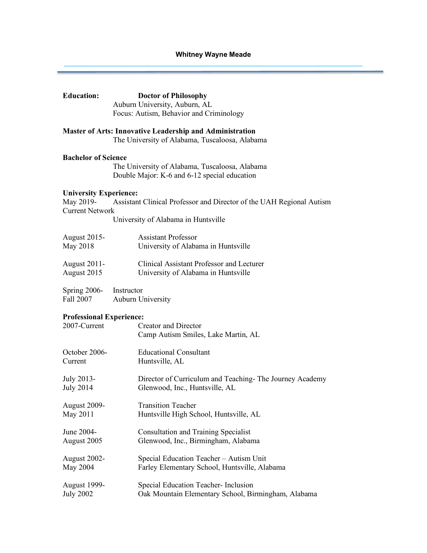# **Whitney Wayne Meade**  $\mathcal{L}_\mathcal{L}$  , and the state of the state of the state of the state of the state of the state of the state of the state of the state of the state of the state of the state of the state of the state of the state of the s

| <b>Education:</b>                                                    | <b>Doctor of Philosophy</b><br>Auburn University, Auburn, AL<br>Focus: Autism, Behavior and Criminology           |
|----------------------------------------------------------------------|-------------------------------------------------------------------------------------------------------------------|
|                                                                      | <b>Master of Arts: Innovative Leadership and Administration</b><br>The University of Alabama, Tuscaloosa, Alabama |
| <b>Bachelor of Science</b>                                           | The University of Alabama, Tuscaloosa, Alabama<br>Double Major: K-6 and 6-12 special education                    |
| <b>University Experience:</b><br>May 2019-<br><b>Current Network</b> | Assistant Clinical Professor and Director of the UAH Regional Autism<br>University of Alabama in Huntsville       |
| <b>August 2015-</b>                                                  | <b>Assistant Professor</b>                                                                                        |
| May 2018                                                             | University of Alabama in Huntsville                                                                               |
| August 2011-                                                         | Clinical Assistant Professor and Lecturer                                                                         |
| August 2015                                                          | University of Alabama in Huntsville                                                                               |
| <b>Spring 2006-</b>                                                  | Instructor                                                                                                        |
| Fall 2007                                                            | <b>Auburn University</b>                                                                                          |
| <b>Professional Experience:</b>                                      | <b>Creator and Director</b>                                                                                       |
| 2007-Current                                                         | Camp Autism Smiles, Lake Martin, AL                                                                               |
| October 2006-                                                        | <b>Educational Consultant</b>                                                                                     |
| Current                                                              | Huntsville, AL                                                                                                    |
| July 2013-                                                           | Director of Curriculum and Teaching- The Journey Academy                                                          |
| <b>July 2014</b>                                                     | Glenwood, Inc., Huntsville, AL                                                                                    |
| August 2009-                                                         | <b>Transition Teacher</b>                                                                                         |
| May 2011                                                             | Huntsville High School, Huntsville, AL                                                                            |
| June 2004-                                                           | <b>Consultation and Training Specialist</b>                                                                       |
| August 2005                                                          | Glenwood, Inc., Birmingham, Alabama                                                                               |
| August 2002-                                                         | Special Education Teacher - Autism Unit                                                                           |
| May 2004                                                             | Farley Elementary School, Huntsville, Alabama                                                                     |
| <b>August 1999-</b>                                                  | Special Education Teacher- Inclusion                                                                              |
| <b>July 2002</b>                                                     | Oak Mountain Elementary School, Birmingham, Alabama                                                               |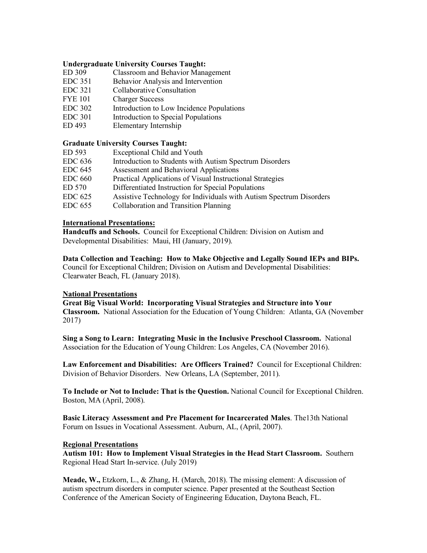## **Undergraduate University Courses Taught:**

- ED 309 Classroom and Behavior Management
- EDC 351 Behavior Analysis and Intervention
- EDC 321 Collaborative Consultation
- FYE 101 Charger Success
- EDC 302 Introduction to Low Incidence Populations
- EDC 301 Introduction to Special Populations
- ED 493 Elementary Internship

## **Graduate University Courses Taught:**

| ED 593         | Exceptional Child and Youth                                         |
|----------------|---------------------------------------------------------------------|
| <b>EDC 636</b> | Introduction to Students with Autism Spectrum Disorders             |
| <b>EDC 645</b> | Assessment and Behavioral Applications                              |
| $EDC$ 660      | Practical Applications of Visual Instructional Strategies           |
| ED 570         | Differentiated Instruction for Special Populations                  |
| <b>EDC 625</b> | Assistive Technology for Individuals with Autism Spectrum Disorders |

EDC 655 Collaboration and Transition Planning

## **International Presentations:**

**Handcuffs and Schools.** Council for Exceptional Children: Division on Autism and Developmental Disabilities: Maui, HI (January, 2019).

**Data Collection and Teaching: How to Make Objective and Legally Sound IEPs and BIPs.**  Council for Exceptional Children; Division on Autism and Developmental Disabilities: Clearwater Beach, FL (January 2018).

#### **National Presentations**

**Great Big Visual World: Incorporating Visual Strategies and Structure into Your Classroom.** National Association for the Education of Young Children: Atlanta, GA (November 2017)

**Sing a Song to Learn: Integrating Music in the Inclusive Preschool Classroom.** National Association for the Education of Young Children: Los Angeles, CA (November 2016).

**Law Enforcement and Disabilities: Are Officers Trained?** Council for Exceptional Children: Division of Behavior Disorders. New Orleans, LA (September, 2011).

**To Include or Not to Include: That is the Question.** National Council for Exceptional Children. Boston, MA (April, 2008).

**Basic Literacy Assessment and Pre Placement for Incarcerated Males**. The13th National Forum on Issues in Vocational Assessment. Auburn, AL, (April, 2007).

#### **Regional Presentations**

**Autism 101: How to Implement Visual Strategies in the Head Start Classroom.** Southern Regional Head Start In-service. (July 2019)

**Meade, W.,** Etzkorn, L., & Zhang, H. (March, 2018). The missing element: A discussion of autism spectrum disorders in computer science. Paper presented at the Southeast Section Conference of the American Society of Engineering Education, Daytona Beach, FL.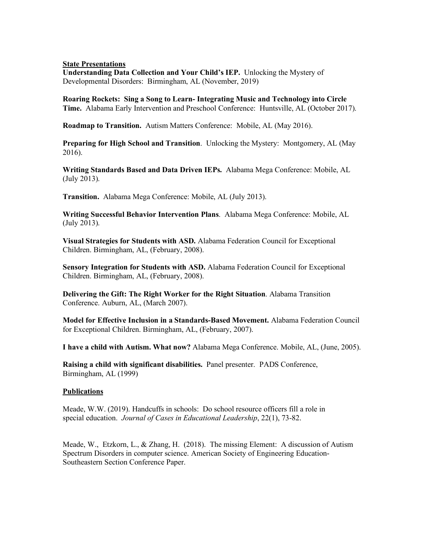#### **State Presentations**

**Understanding Data Collection and Your Child's IEP.** Unlocking the Mystery of Developmental Disorders: Birmingham, AL (November, 2019)

**Roaring Rockets: Sing a Song to Learn- Integrating Music and Technology into Circle Time.** Alabama Early Intervention and Preschool Conference: Huntsville, AL (October 2017).

**Roadmap to Transition.** Autism Matters Conference: Mobile, AL (May 2016).

**Preparing for High School and Transition**. Unlocking the Mystery: Montgomery, AL (May 2016).

**Writing Standards Based and Data Driven IEPs.** Alabama Mega Conference: Mobile, AL (July 2013).

**Transition.** Alabama Mega Conference: Mobile, AL (July 2013).

**Writing Successful Behavior Intervention Plans**. Alabama Mega Conference: Mobile, AL (July 2013).

**Visual Strategies for Students with ASD.** Alabama Federation Council for Exceptional Children. Birmingham, AL, (February, 2008).

**Sensory Integration for Students with ASD.** Alabama Federation Council for Exceptional Children. Birmingham, AL, (February, 2008).

**Delivering the Gift: The Right Worker for the Right Situation**. Alabama Transition Conference. Auburn, AL, (March 2007).

**Model for Effective Inclusion in a Standards-Based Movement.** Alabama Federation Council for Exceptional Children. Birmingham, AL, (February, 2007).

**I have a child with Autism. What now?** Alabama Mega Conference. Mobile, AL, (June, 2005).

**Raising a child with significant disabilities.** Panel presenter. PADS Conference, Birmingham, AL (1999)

# **Publications**

Meade, W.W. (2019). Handcuffs in schools: Do school resource officers fill a role in special education. *Journal of Cases in Educational Leadership*, 22(1), 73-82.

Meade, W., Etzkorn, L., & Zhang, H. (2018). The missing Element: A discussion of Autism Spectrum Disorders in computer science. American Society of Engineering Education-Southeastern Section Conference Paper.